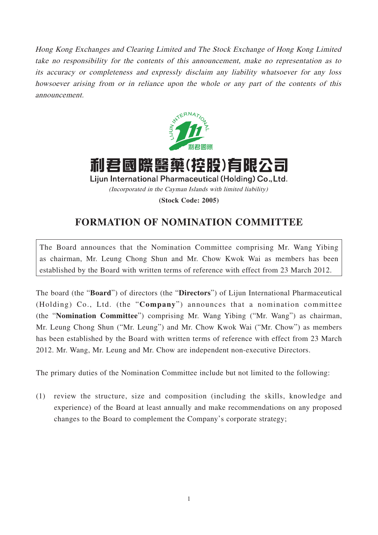Hong Kong Exchanges and Clearing Limited and The Stock Exchange of Hong Kong Limited take no responsibility for the contents of this announcement, make no representation as to its accuracy or completeness and expressly disclaim any liability whatsoever for any loss howsoever arising from or in reliance upon the whole or any part of the contents of this announcement.



利君國際醫藥(控股)有限公司 Lijun International Pharmaceutical (Holding) Co., Ltd. (Incorporated in the Cayman Islands with limited liability) **(Stock Code: 2005)**

## **FORMATION OF NOMINATION COMMITTEE**

The Board announces that the Nomination Committee comprising Mr. Wang Yibing as chairman, Mr. Leung Chong Shun and Mr. Chow Kwok Wai as members has been established by the Board with written terms of reference with effect from 23 March 2012.

The board (the "**Board**") of directors (the "**Directors**") of Lijun International Pharmaceutical (Holding) Co., Ltd. (the "**Company**") announces that a nomination committee (the "**Nomination Committee**") comprising Mr. Wang Yibing ("Mr. Wang") as chairman, Mr. Leung Chong Shun ("Mr. Leung") and Mr. Chow Kwok Wai ("Mr. Chow") as members has been established by the Board with written terms of reference with effect from 23 March 2012. Mr. Wang, Mr. Leung and Mr. Chow are independent non-executive Directors.

The primary duties of the Nomination Committee include but not limited to the following:

(1) review the structure, size and composition (including the skills, knowledge and experience) of the Board at least annually and make recommendations on any proposed changes to the Board to complement the Company's corporate strategy;